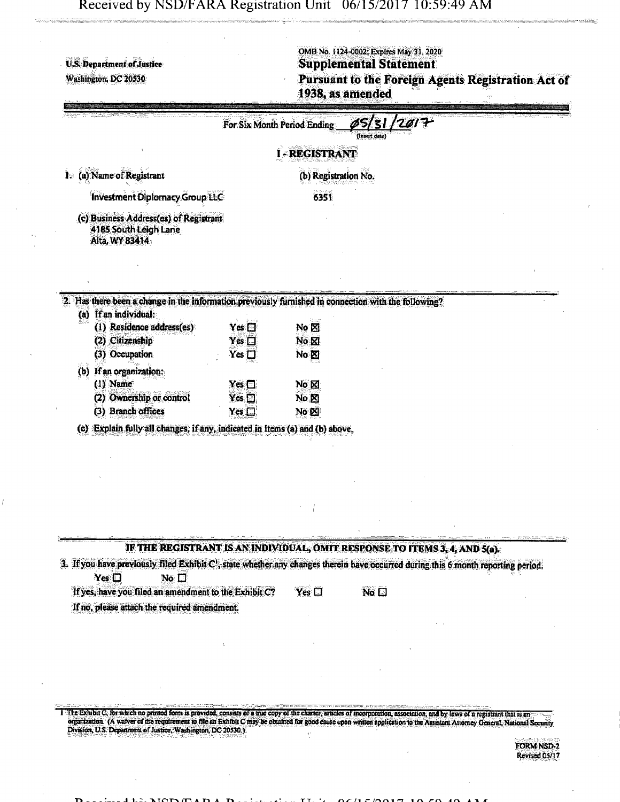Received by NSD/FARA Registration Unit 06/15/2017 10:59:49 AM

ali lillet man j

| U.S. Department of Justice<br>Washington, DC 20530                                                                                                                                                                                                                                                                                                             |                             |                      | OMB No. 1124-0002; Expires May 31, 2020<br><b>Supplemental Statement</b><br>Pursuant to the Foreign Agents Registration Act of<br>1938, as amended |                                    |
|----------------------------------------------------------------------------------------------------------------------------------------------------------------------------------------------------------------------------------------------------------------------------------------------------------------------------------------------------------------|-----------------------------|----------------------|----------------------------------------------------------------------------------------------------------------------------------------------------|------------------------------------|
|                                                                                                                                                                                                                                                                                                                                                                | For Six Month Period Ending |                      | (Insert date)                                                                                                                                      |                                    |
|                                                                                                                                                                                                                                                                                                                                                                |                             | -REGISTRANT          |                                                                                                                                                    |                                    |
| (a) Name of Registrant<br>$\mathbf{I}$                                                                                                                                                                                                                                                                                                                         |                             | (b) Registration No. |                                                                                                                                                    |                                    |
| Investment Diplomacy Group LLC                                                                                                                                                                                                                                                                                                                                 |                             | 6351                 |                                                                                                                                                    |                                    |
| (c) Business Address(es) of Registrant<br>4185 South Leigh Lane<br>Alta, WY 83414                                                                                                                                                                                                                                                                              |                             |                      |                                                                                                                                                    |                                    |
| 2. Has there been a change in the information previously furnished in connection with the following?<br>(a) If an individual:                                                                                                                                                                                                                                  |                             |                      |                                                                                                                                                    |                                    |
| (1) Residence address(es)                                                                                                                                                                                                                                                                                                                                      | $Yes \Box$                  | No $\boxtimes$       |                                                                                                                                                    |                                    |
| (2) Citizenship                                                                                                                                                                                                                                                                                                                                                | Yes $\square$               | No <sub>M</sub>      |                                                                                                                                                    |                                    |
| (3) Occupation                                                                                                                                                                                                                                                                                                                                                 | $Yes \Box$                  | No &                 |                                                                                                                                                    |                                    |
| If an organization:<br>(b)                                                                                                                                                                                                                                                                                                                                     |                             |                      |                                                                                                                                                    |                                    |
| $(1)$ Name                                                                                                                                                                                                                                                                                                                                                     | Yes $\square$               | No & M               |                                                                                                                                                    |                                    |
| (2) Ownership or control<br>(3) Branch offices                                                                                                                                                                                                                                                                                                                 | $Yes \Box$<br>$Yes \Box$    | No &<br>No <b>E</b>  |                                                                                                                                                    |                                    |
|                                                                                                                                                                                                                                                                                                                                                                |                             |                      |                                                                                                                                                    |                                    |
| (c) Explain fully all changes, if any, indicated in Items (a) and (b) above.                                                                                                                                                                                                                                                                                   |                             |                      |                                                                                                                                                    |                                    |
|                                                                                                                                                                                                                                                                                                                                                                |                             |                      |                                                                                                                                                    |                                    |
|                                                                                                                                                                                                                                                                                                                                                                |                             |                      |                                                                                                                                                    |                                    |
|                                                                                                                                                                                                                                                                                                                                                                |                             |                      |                                                                                                                                                    |                                    |
|                                                                                                                                                                                                                                                                                                                                                                |                             |                      |                                                                                                                                                    |                                    |
|                                                                                                                                                                                                                                                                                                                                                                |                             |                      |                                                                                                                                                    |                                    |
|                                                                                                                                                                                                                                                                                                                                                                |                             |                      |                                                                                                                                                    |                                    |
|                                                                                                                                                                                                                                                                                                                                                                |                             |                      | IF THE REGISTRANT IS AN INDIVIDUAL, OMIT RESPONSE TO ITEMS 3, 4, AND 5(a).                                                                         |                                    |
| 3. If you have previously filed Exhibit C', state whether any changes therein have occurred during this 6 month reporting period.<br>$Yes$ $\Box$<br>No <sub>1</sub>                                                                                                                                                                                           |                             |                      |                                                                                                                                                    |                                    |
| If yes, have you filed an amendment to the Exhibit C?                                                                                                                                                                                                                                                                                                          |                             | $Yes \Box$           | No <sub>1</sub>                                                                                                                                    |                                    |
| If no, please attach the required amendment.                                                                                                                                                                                                                                                                                                                   |                             |                      |                                                                                                                                                    |                                    |
|                                                                                                                                                                                                                                                                                                                                                                |                             |                      |                                                                                                                                                    |                                    |
|                                                                                                                                                                                                                                                                                                                                                                |                             |                      |                                                                                                                                                    |                                    |
|                                                                                                                                                                                                                                                                                                                                                                |                             |                      |                                                                                                                                                    |                                    |
|                                                                                                                                                                                                                                                                                                                                                                |                             |                      |                                                                                                                                                    |                                    |
|                                                                                                                                                                                                                                                                                                                                                                |                             |                      |                                                                                                                                                    |                                    |
|                                                                                                                                                                                                                                                                                                                                                                |                             |                      |                                                                                                                                                    |                                    |
| I The Exhibit C, for which no printed form is provided, consists of a true copy of the charter, articles of incorporation, association, and by laws of a registrant that is an<br>organization. (A waiver of the requirement to file an Exhibit C may be obtained for good cause upon written application to the Assistant Attorney General, National Security |                             |                      |                                                                                                                                                    |                                    |
| Division, U.S. Department of Justice, Washington, DC 20530.).                                                                                                                                                                                                                                                                                                  |                             |                      |                                                                                                                                                    |                                    |
|                                                                                                                                                                                                                                                                                                                                                                |                             |                      |                                                                                                                                                    | <b>FORM NSD-2</b><br>Revised 05/17 |

i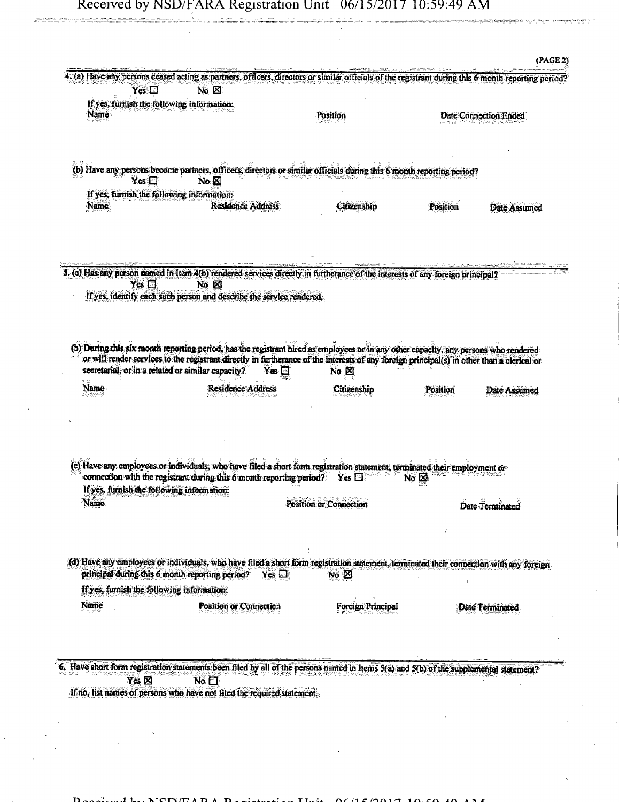## Received by NSD/FARA Registration Unit  $0.06/15/2017$  10:59:49 AM

| $Yes \Box$                                        | (a) Have any persons ceased acting as partners, officers, directors or similar officials of the registrant during this 6 month reporting period?<br>No $\boxtimes$                                                                                                                                  |                        |                |                        |
|---------------------------------------------------|-----------------------------------------------------------------------------------------------------------------------------------------------------------------------------------------------------------------------------------------------------------------------------------------------------|------------------------|----------------|------------------------|
| If yes, furnish the following information:        |                                                                                                                                                                                                                                                                                                     |                        |                |                        |
| <b>Name</b>                                       |                                                                                                                                                                                                                                                                                                     | Position               |                | Date Connection Ended  |
| $Yes \Box$                                        | (b) Have any persons become partners, officers, directors or similar officials during this 6 month reporting period?<br>No <sub>R</sub>                                                                                                                                                             |                        |                |                        |
| If yes, furnish the following information:        |                                                                                                                                                                                                                                                                                                     |                        |                |                        |
| Name                                              | <b>Residence Address</b>                                                                                                                                                                                                                                                                            | Citizenship            | Position       | Date Assumed           |
|                                                   | 5. (a) Has any person named in Item 4(b) rendered services directly in furtherance of the interests of any foreign principal?                                                                                                                                                                       |                        |                |                        |
| Yes $\square$                                     | No <b>E</b><br>If yes, identify each such person and describe the service rendered.                                                                                                                                                                                                                 |                        |                |                        |
| secretarial, or in a related or similar capacity? | (b) During this six month reporting period, has the registrant hired as employees or in any other capacity, any persons who rendered<br>or will render services to the registrant directly in furtherance of the interests of any foreign principal(s) in other than a clerical or<br>Yes $\square$ | No $\boxtimes$         |                |                        |
| Name                                              | <b>Residence Address</b>                                                                                                                                                                                                                                                                            | Citizenship            | Position       | Date Assumed           |
|                                                   | (c) Have any employees or individuals, who have filed a short form registration statement, terminated their employment or<br>connection with the registrant during this 6 month reporting period?                                                                                                   | $\gamma$ es $\square$  | No $\boxtimes$ |                        |
| If yes, furnish the following information:        |                                                                                                                                                                                                                                                                                                     |                        |                |                        |
| Name                                              |                                                                                                                                                                                                                                                                                                     | Position or Connection |                | Date Terminated        |
| principal during this 6 month reporting period?   | (d) Have any employees or individuals, who have filed a short form registration statement, terminated their connection with any foreign<br>$Yes \Box$                                                                                                                                               | $No \boxtimes$         |                |                        |
| If yes, furnish the following information:        |                                                                                                                                                                                                                                                                                                     |                        |                |                        |
|                                                   | Position or Connection                                                                                                                                                                                                                                                                              | Forcign Principal      |                | <b>Date Terminated</b> |
| Name                                              |                                                                                                                                                                                                                                                                                                     |                        |                |                        |

If no, list names of persons who have not filed thc required statement.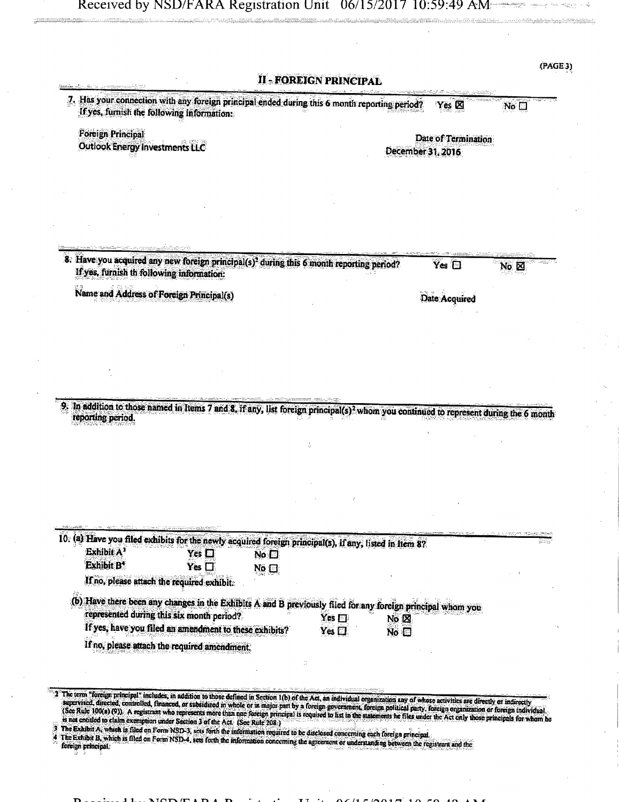$\sim \frac{1}{28}$ 

| If yes, furnish the following information:             |                                | 7. Has your connection with any foreign principal ended during this 6 month reporting period?                                                                                  | Yes <b>X</b>        | No <sub>1</sub> |
|--------------------------------------------------------|--------------------------------|--------------------------------------------------------------------------------------------------------------------------------------------------------------------------------|---------------------|-----------------|
| <b>Foreign Principal</b>                               |                                |                                                                                                                                                                                | Date of Termination |                 |
| <b>Outlook Energy Investments LLC</b>                  |                                |                                                                                                                                                                                | December 31, 2016   |                 |
|                                                        |                                |                                                                                                                                                                                |                     |                 |
|                                                        |                                |                                                                                                                                                                                |                     |                 |
|                                                        |                                |                                                                                                                                                                                |                     |                 |
|                                                        |                                |                                                                                                                                                                                |                     |                 |
|                                                        |                                |                                                                                                                                                                                |                     |                 |
| If yes, furnish th following information:              |                                | 8. Have you acquired any new foreign principal(s) <sup>2</sup> during this 6 month reporting period?                                                                           | Yes $\Box$          | NO M            |
| Name and Address of Foreign Principal(s)               |                                |                                                                                                                                                                                | Date Acquired       |                 |
|                                                        |                                |                                                                                                                                                                                |                     |                 |
|                                                        |                                |                                                                                                                                                                                |                     |                 |
|                                                        |                                |                                                                                                                                                                                |                     |                 |
|                                                        |                                |                                                                                                                                                                                |                     |                 |
|                                                        |                                |                                                                                                                                                                                |                     |                 |
|                                                        |                                | In addition to those named in Items 7 and 8, if any, list foreign principal(s) <sup>2</sup> whom you continued to represent during the 6 month                                 |                     |                 |
| reporting period.                                      |                                |                                                                                                                                                                                |                     |                 |
|                                                        |                                |                                                                                                                                                                                |                     |                 |
|                                                        |                                |                                                                                                                                                                                |                     |                 |
|                                                        |                                |                                                                                                                                                                                |                     |                 |
|                                                        |                                |                                                                                                                                                                                |                     |                 |
|                                                        |                                |                                                                                                                                                                                |                     |                 |
|                                                        |                                | 10. (a) Have you filed exhibits for the newly acquired foreign principal(s), if any, ilsted in Item 8?                                                                         |                     |                 |
| Exhibit A <sup>3</sup><br><b>Exhibit B<sup>4</sup></b> | Yes $\square$<br>Yes $\square$ | No <sub>1</sub>                                                                                                                                                                |                     |                 |
| If no, please attach the required exhibit.             |                                | No $\Box$                                                                                                                                                                      |                     |                 |
|                                                        |                                |                                                                                                                                                                                |                     |                 |
|                                                        |                                | (b) Have there been any changes in the Exhibits A and B previously filed for any foreign principal whom you<br>$Yes \Box$<br>No $\boxtimes$                                    |                     |                 |
| represented during this six month period?              |                                | $Yes$ $\Box$<br>No <sub>1</sub>                                                                                                                                                |                     |                 |
| If yes, have you filed an amendment to these exhibits? |                                |                                                                                                                                                                                |                     |                 |
| If no, please attach the required amendment.           |                                |                                                                                                                                                                                |                     |                 |
|                                                        |                                |                                                                                                                                                                                |                     |                 |
|                                                        |                                | The term "foreign principal" includes, in addition to those defined in Section 1(b) of the Act, an individual organization any of whose activities are directly or indirectly. |                     |                 |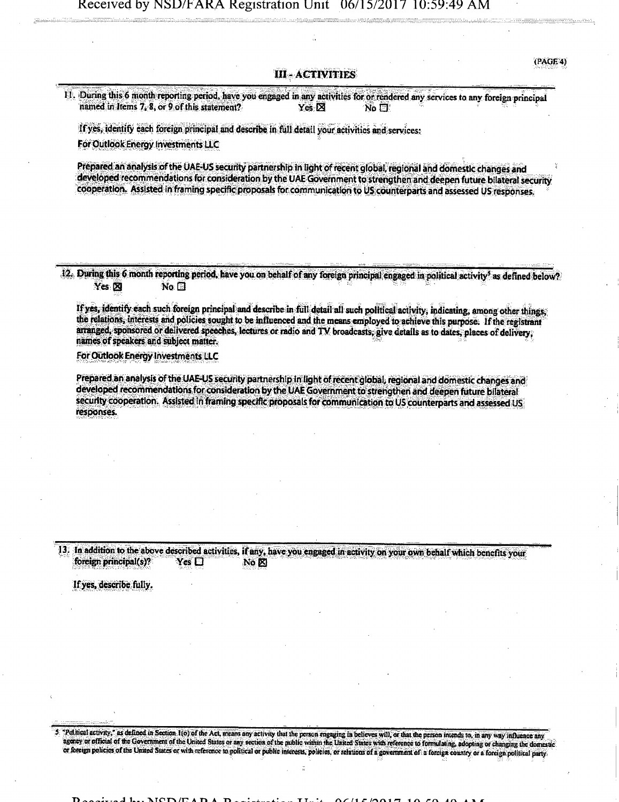<PA0f/4)

## **III-ACTIVITIES**

**11. Daring thjs,6 month reporting period, have you engaged in any activities for or rendered any services to any foreign principal named in Items 7, 8, or 9 of this statement?** Yes  $\boxtimes$  Yes  $\boxtimes$ 

**If yes, identify each foreign principal and describe in full detail your activities and services? For Outlook Energy Investments LLC** 

**Prepared an analysis ofthe UAE-US security partnership in light of recent global, regional and domestic changes and developed recommendations for consideration by the UAE Government to strengthen and deepen future bilateral security cooperation. Assisted in framing specific proposals for communication to US counterparts and assessed US responses.** 

**12. During this 6 month reporting period, have you on behalf of any foreign principal engaged in political activity<sup>5</sup> as defined below?**   $Yes \boxtimes$  **No.**  $\Box$ 

**If yes, identify each such foreign principal and describe in full detail all such political activity, indicating, among other things, the relations, interests and poticies sought to be influenced and the means employed to achieve this purpose. If the registrant arranged, sponsored or delivered speeches, lectures or radio and TV broadcasts; give details as to dates, places of delivery, names of speakers and subject matter.** 

**For Outlook Energy Investments LLC** 

**Prepared an analysis of the UAE-US security partnership In tight of recent global, regional and domestic changes and developed recommendations for consideration by the UAE Government to strengthen and deepen future bilateral security cooperation. Assisted in framing specific proposals for communication to US counterparts and assessed US responses.** 

13. In addition to the above described activities, if any, have you engaged in activity on your own behalf which benefits your **foreign principal(s)?** Yes  $\Box$  No  $\boxtimes$ **foreign principal(s)?** 

If yes, describe fully.

S "Political activity," as defined in Section 1(o) of the Act, means any activity that the person engaging in believes will, or that the person intends to, in any way influence any agency or official of the Government of the United States or any section of the public within the United States with reference to formulating, adopting or changing the domestic or foreign policies of the United States or with reference to political or public interests, policies, or relations of a government of a foreign country or a foreign political party.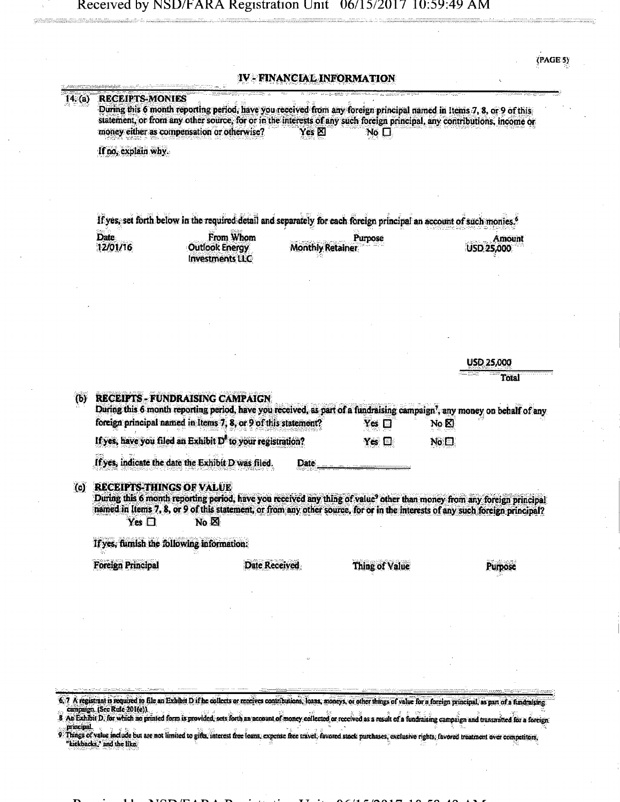ster<br>Skil

 $(PAGE 5)$ 

| 14. (a)               | <b>RECEIPTS-MONIES</b>                           | During this 6 month reporting period, have you received from any foreign principal named in Items 7, 8, or 9 of this<br>statement, or from any other source, for or in the interests of any such foreign principal, any contributions, income or<br>money either as compensation or otherwise? | $Yes \boxtimes$         | $N_0$ $\Box$          |                                   |                      |
|-----------------------|--------------------------------------------------|------------------------------------------------------------------------------------------------------------------------------------------------------------------------------------------------------------------------------------------------------------------------------------------------|-------------------------|-----------------------|-----------------------------------|----------------------|
|                       | If no, explain why.                              |                                                                                                                                                                                                                                                                                                |                         |                       |                                   |                      |
|                       |                                                  | If yes, set forth below in the required detail and separately for each foreign principal an account of such monies. <sup>6</sup>                                                                                                                                                               |                         |                       |                                   |                      |
|                       | <b>Date</b><br>12/01/16                          | From Whom<br><b>Outlook Energy</b><br><b>Investments LLC</b>                                                                                                                                                                                                                                   | <b>Monthly Retainer</b> | Purpose               |                                   | Amount<br>USD 25,000 |
|                       |                                                  |                                                                                                                                                                                                                                                                                                |                         |                       |                                   |                      |
|                       |                                                  |                                                                                                                                                                                                                                                                                                |                         |                       |                                   |                      |
|                       |                                                  |                                                                                                                                                                                                                                                                                                |                         |                       |                                   | <b>USD 25,000</b>    |
|                       |                                                  |                                                                                                                                                                                                                                                                                                |                         |                       |                                   | Total                |
| $\boldsymbol{\omega}$ |                                                  | <b>RECEIPTS - FUNDRAISING CAMPAIGN</b>                                                                                                                                                                                                                                                         |                         |                       |                                   |                      |
|                       |                                                  | During this 6 month reporting period, have you received, as part of a fundraising campaign', any money on behalf of any<br>foreign principal named in Items 7, 8, or 9 of this statement?                                                                                                      |                         | Yes $\square$         | $\overline{\text{No }} \boxtimes$ |                      |
|                       |                                                  | If yes, have you filed an Exhibit D <sup>8</sup> to your registration?                                                                                                                                                                                                                         |                         | Yes ⊡                 | No <sub>1</sub>                   |                      |
|                       |                                                  | If yes, indicate the date the Exhibit D was filed.                                                                                                                                                                                                                                             | Date                    |                       |                                   |                      |
| (c)                   | <b>RECEIPTS-THINGS OF VALUE</b><br>Yes $\square$ | During this 6 month reporting period, have you received any thing of value <sup>9</sup> other than money from any foreign principal<br>named in Items 7, 8, or 9 of this statement, or from any other source, for or in the interests of any such foreign principal?<br>$No \boxtimes$         |                         |                       |                                   |                      |
|                       | If yes, furnish the following information:       |                                                                                                                                                                                                                                                                                                |                         |                       |                                   |                      |
|                       | <b>Foreign Principal</b>                         | <b>Date Received</b>                                                                                                                                                                                                                                                                           |                         | <b>Thing of Value</b> |                                   |                      |
|                       |                                                  |                                                                                                                                                                                                                                                                                                |                         |                       |                                   |                      |
|                       |                                                  |                                                                                                                                                                                                                                                                                                |                         |                       |                                   |                      |
|                       |                                                  |                                                                                                                                                                                                                                                                                                |                         |                       |                                   |                      |
|                       |                                                  |                                                                                                                                                                                                                                                                                                |                         |                       |                                   |                      |
|                       |                                                  |                                                                                                                                                                                                                                                                                                |                         |                       |                                   |                      |

6.7 A registrant is required to file an Exhibit D if he collects or receives contributions. Ioans, moneys, or other things of value for a foreign principal, as part of a fundraising.<br>Compaign. (See Rule 201(e)).

8 An Exhibit D, for which as printed form is provided, sets forth an account of money collected or received as a result of a fundraising campaign and transmitted for a foreign

9 Things of value include but are not limited to gifts, interest free loans, expense free travel, favored stock purchases, exclusive rights, favored treatment over competitors. "lackbadcC and the tike. \*^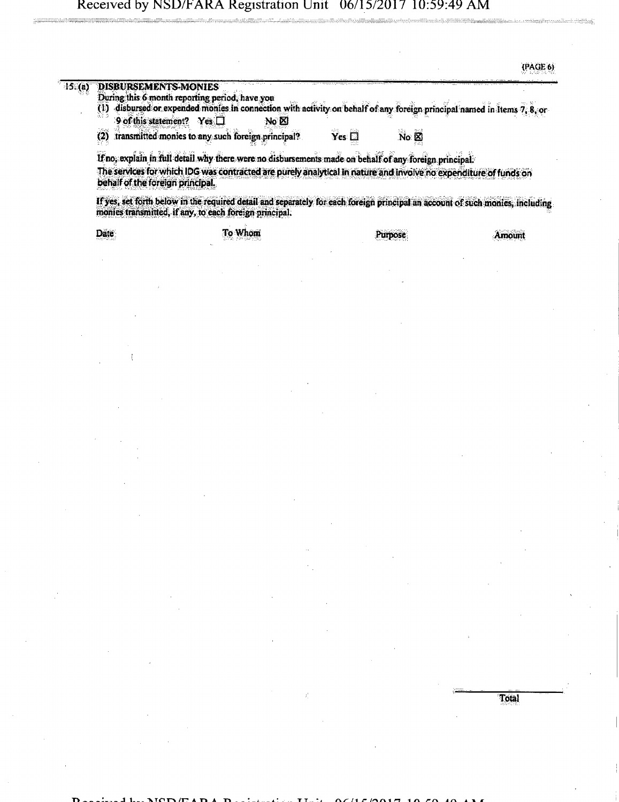| DISBURSEMENTS-MONIES<br>15.(a)<br>During this 6 month reporting period, have you<br>disbursed or expended monies in connection with activity on behalf of any foreign principal named in items 7, 8, or<br>(1)<br>9 of this statement? Yes $\Box$<br>$No \boxtimes$<br>$Yes \Box$<br>transmitted monies to any such foreign principal?<br>(2)<br>No & 8<br>If no, explain in full detail why there were no disbursements made on behalf of any foreign principal.<br>The services for which IDG was contracted are purely analytical in nature and involve no expenditure of funds on<br>behalf of the foreign principal.<br>If yes, set forth below in the required detail and separately for each foreign principal an account of such monies, including<br>monies transmitted, if any, to each foreign principal.<br>To Whom<br>Date<br>Purpose | (PAGE 6) |
|----------------------------------------------------------------------------------------------------------------------------------------------------------------------------------------------------------------------------------------------------------------------------------------------------------------------------------------------------------------------------------------------------------------------------------------------------------------------------------------------------------------------------------------------------------------------------------------------------------------------------------------------------------------------------------------------------------------------------------------------------------------------------------------------------------------------------------------------------|----------|
|                                                                                                                                                                                                                                                                                                                                                                                                                                                                                                                                                                                                                                                                                                                                                                                                                                                    |          |
|                                                                                                                                                                                                                                                                                                                                                                                                                                                                                                                                                                                                                                                                                                                                                                                                                                                    |          |
|                                                                                                                                                                                                                                                                                                                                                                                                                                                                                                                                                                                                                                                                                                                                                                                                                                                    |          |
|                                                                                                                                                                                                                                                                                                                                                                                                                                                                                                                                                                                                                                                                                                                                                                                                                                                    |          |
|                                                                                                                                                                                                                                                                                                                                                                                                                                                                                                                                                                                                                                                                                                                                                                                                                                                    | Amount   |
|                                                                                                                                                                                                                                                                                                                                                                                                                                                                                                                                                                                                                                                                                                                                                                                                                                                    |          |
|                                                                                                                                                                                                                                                                                                                                                                                                                                                                                                                                                                                                                                                                                                                                                                                                                                                    |          |
|                                                                                                                                                                                                                                                                                                                                                                                                                                                                                                                                                                                                                                                                                                                                                                                                                                                    |          |
|                                                                                                                                                                                                                                                                                                                                                                                                                                                                                                                                                                                                                                                                                                                                                                                                                                                    |          |
|                                                                                                                                                                                                                                                                                                                                                                                                                                                                                                                                                                                                                                                                                                                                                                                                                                                    |          |
|                                                                                                                                                                                                                                                                                                                                                                                                                                                                                                                                                                                                                                                                                                                                                                                                                                                    |          |
|                                                                                                                                                                                                                                                                                                                                                                                                                                                                                                                                                                                                                                                                                                                                                                                                                                                    |          |
|                                                                                                                                                                                                                                                                                                                                                                                                                                                                                                                                                                                                                                                                                                                                                                                                                                                    |          |
|                                                                                                                                                                                                                                                                                                                                                                                                                                                                                                                                                                                                                                                                                                                                                                                                                                                    |          |
|                                                                                                                                                                                                                                                                                                                                                                                                                                                                                                                                                                                                                                                                                                                                                                                                                                                    |          |
|                                                                                                                                                                                                                                                                                                                                                                                                                                                                                                                                                                                                                                                                                                                                                                                                                                                    |          |

**Total**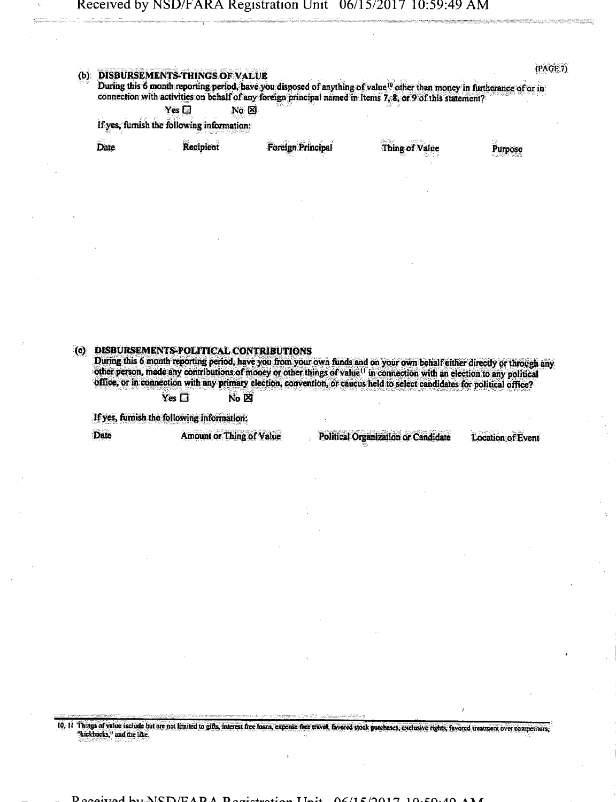## **{PAGE?) Experience of THINGS OF VALUE** During this 6 month reporting period, have you disposed of anything of value<sup>t</sup> other than money in furtherance of or in<br>connection with activities on hehalf of any foreign principal named in Items 7:2, as 0:44th is detact **connection with activities on behalf of any foreign principal named in Items 7, 8, or 9 of this statement?**<br> **Pes**  $\Box$  No  $\boxtimes$ Yes • No 0 **if yes, furnish the following information:**  Date **industrial Foreign Principal** Thing of Value Purpose **(c) DISBURSEMENTS-POLITICAL CONTRIBUTIONS During this 6 month reporting period, have you from your own funds and on your own behalf either directly or through any other person, made any contributions of money or other things of value" in connection with an election to any political office, or in connection with any primary election, convention, or caucus held to select candidates for political office?**   $Yes \Box$  **No**  $\boxtimes$ **If yes, furnish the following infonnation:**  Date **Amount or Thing of Value** Political Organization or Candidate Location of Event

10. II Things of value include but are not limited to gifts, interest free hoans, expense free travel, favored stock purchases, exclusive rights, favored treatment over competitors, "kickbacks," and the like.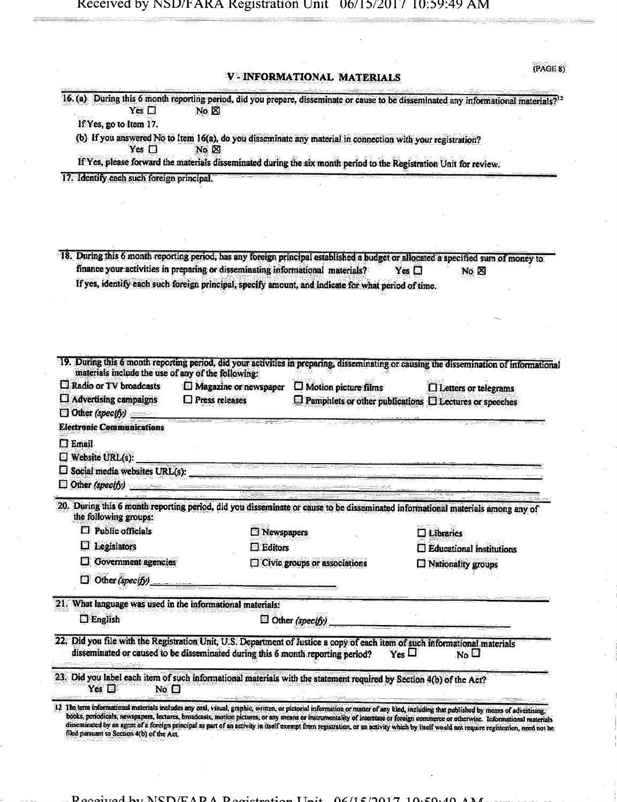V-INFORMATIONAL MATERIALS

 $(PAGE 8)$ 

| Yes $\square$                                                                                                                                  | 16. (a) During this 6 month reporting period, did you prepare, disseminate or cause to be disseminated any informational materials? <sup>12</sup><br>$No \boxtimes$                                                                                                                                                                                                     |                                                                    |
|------------------------------------------------------------------------------------------------------------------------------------------------|-------------------------------------------------------------------------------------------------------------------------------------------------------------------------------------------------------------------------------------------------------------------------------------------------------------------------------------------------------------------------|--------------------------------------------------------------------|
| If Yes, go to Item 17.                                                                                                                         |                                                                                                                                                                                                                                                                                                                                                                         |                                                                    |
| Yes $\Box$                                                                                                                                     | (b) If you answered No to Item 16(a), do you disseminate any material in connection with your registration?<br>No &                                                                                                                                                                                                                                                     |                                                                    |
|                                                                                                                                                | If Yes, please forward the materials disseminated during the six month period to the Registration Unit for review.                                                                                                                                                                                                                                                      |                                                                    |
| 17. Identify each such foreign principal.                                                                                                      |                                                                                                                                                                                                                                                                                                                                                                         |                                                                    |
|                                                                                                                                                |                                                                                                                                                                                                                                                                                                                                                                         |                                                                    |
|                                                                                                                                                |                                                                                                                                                                                                                                                                                                                                                                         |                                                                    |
|                                                                                                                                                |                                                                                                                                                                                                                                                                                                                                                                         |                                                                    |
|                                                                                                                                                |                                                                                                                                                                                                                                                                                                                                                                         |                                                                    |
|                                                                                                                                                | 18. During this 6 month reporting period, has any foreign principal established a budget or allocated a specified sum of money to                                                                                                                                                                                                                                       |                                                                    |
|                                                                                                                                                | finance your activities in preparing or disseminating informational materials?                                                                                                                                                                                                                                                                                          | Yes $\square$<br>No <sub>[20]</sub>                                |
|                                                                                                                                                | If yes, identify each such foreign principal, specify amount, and indicate for what period of time.                                                                                                                                                                                                                                                                     |                                                                    |
|                                                                                                                                                |                                                                                                                                                                                                                                                                                                                                                                         |                                                                    |
|                                                                                                                                                |                                                                                                                                                                                                                                                                                                                                                                         |                                                                    |
|                                                                                                                                                |                                                                                                                                                                                                                                                                                                                                                                         |                                                                    |
|                                                                                                                                                | 19. During this 6 month reporting period, did your activities in preparing, disseminating or causing the dissemination of informational                                                                                                                                                                                                                                 |                                                                    |
| materials include the use of any of the following:                                                                                             |                                                                                                                                                                                                                                                                                                                                                                         |                                                                    |
| Radio or TV broadcasts                                                                                                                         | <b>E</b> Magazine or newspaper<br>$\square$ Motion picture films                                                                                                                                                                                                                                                                                                        | $\Box$ Letters or telegrams                                        |
| $\Box$ Advertising campaigns                                                                                                                   | $\square$ Press releases                                                                                                                                                                                                                                                                                                                                                | $\Box$ Pamphlets or other publications $\Box$ Lectures or speeches |
| $\Box$ Other (specify) $\Box$                                                                                                                  |                                                                                                                                                                                                                                                                                                                                                                         |                                                                    |
|                                                                                                                                                |                                                                                                                                                                                                                                                                                                                                                                         |                                                                    |
|                                                                                                                                                |                                                                                                                                                                                                                                                                                                                                                                         |                                                                    |
|                                                                                                                                                |                                                                                                                                                                                                                                                                                                                                                                         |                                                                    |
|                                                                                                                                                | <u>t di de ser mente e per la consegue de la c</u>                                                                                                                                                                                                                                                                                                                      |                                                                    |
|                                                                                                                                                |                                                                                                                                                                                                                                                                                                                                                                         |                                                                    |
|                                                                                                                                                |                                                                                                                                                                                                                                                                                                                                                                         |                                                                    |
| the following groups:                                                                                                                          | 20. During this 6 month reporting period, did you disseminate or cause to be disseminated informational materials among any of                                                                                                                                                                                                                                          |                                                                    |
| $\square$ Public officials                                                                                                                     |                                                                                                                                                                                                                                                                                                                                                                         | $\square$ Libraries                                                |
| Legislators<br>⊡                                                                                                                               | <b>El Newspapers</b><br>$\Box$ Editors                                                                                                                                                                                                                                                                                                                                  | $\Box$ Educational institutions                                    |
| Government agencies                                                                                                                            | $\Box$ Civic groups or associations                                                                                                                                                                                                                                                                                                                                     | <b>Nationality</b> groups                                          |
| Other (specify)<br>0                                                                                                                           |                                                                                                                                                                                                                                                                                                                                                                         |                                                                    |
|                                                                                                                                                |                                                                                                                                                                                                                                                                                                                                                                         |                                                                    |
|                                                                                                                                                |                                                                                                                                                                                                                                                                                                                                                                         |                                                                    |
| $\Box$ English                                                                                                                                 | $\Box$ Other (specify)                                                                                                                                                                                                                                                                                                                                                  |                                                                    |
|                                                                                                                                                | 22. Did you file with the Registration Unit, U.S. Department of Justice a copy of each item of such informational materials                                                                                                                                                                                                                                             |                                                                    |
| <b>Electronic Communications</b><br>$\square$ Email<br>$\square$ Website URL(s):<br>21. What language was used in the informational materials; | disseminated or caused to be disseminated during this 6 month reporting period?                                                                                                                                                                                                                                                                                         | $Y_{\text{es}} \square$<br>$N_0 \square$                           |
|                                                                                                                                                | 23. Did you label each item of such informational materials with the statement required by Section 4(b) of the Act?                                                                                                                                                                                                                                                     |                                                                    |
| Yes $\square$<br>No <sub>1</sub>                                                                                                               |                                                                                                                                                                                                                                                                                                                                                                         |                                                                    |
|                                                                                                                                                | 12 The term informational materials includes any oral, visual, graphic, written, or pictorial information or matter of any kind, including that published by means of advertising,                                                                                                                                                                                      |                                                                    |
| filed parsuant to Section 4(b) of the Act.                                                                                                     | books, periodicals, newspapers, lectures, broadcasts, motion pictures, or any means or instrumentality of interstate or foreign commerce or otherwise. Informational materials<br>disseminated by an agent of a foreign principal as part of an activity in itself exempt from registration, or an activity which by itself would not require registration, need not be |                                                                    |